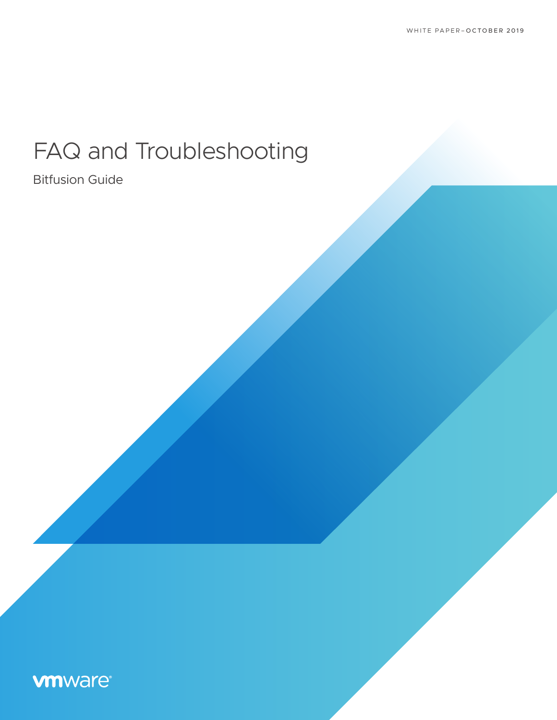# FAQ and Troubleshooting

# Bitfusion Guide

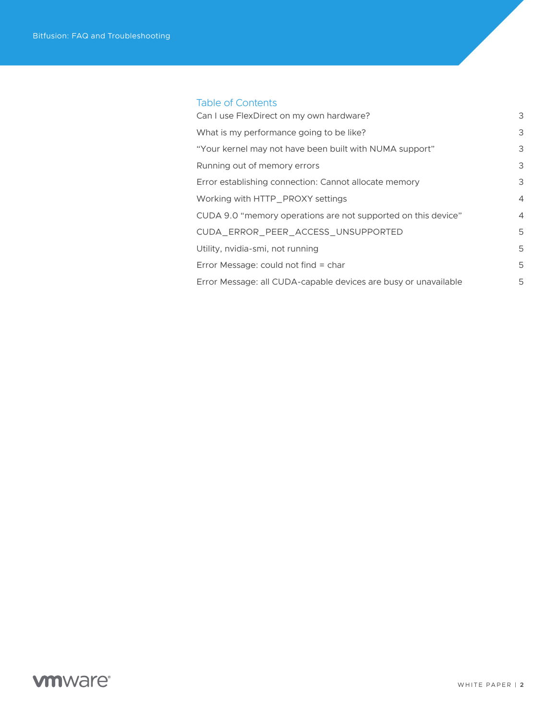# Table of Contents

| Can I use FlexDirect on my own hardware?                        | 3              |
|-----------------------------------------------------------------|----------------|
| What is my performance going to be like?                        | 3              |
| "Your kernel may not have been built with NUMA support"         | 3              |
| Running out of memory errors                                    | 3              |
| Error establishing connection: Cannot allocate memory           | 3              |
| Working with HTTP_PROXY settings                                | $\overline{4}$ |
| CUDA 9.0 "memory operations are not supported on this device"   | $\overline{4}$ |
| CUDA_ERROR_PEER_ACCESS_UNSUPPORTED                              | 5              |
| Utility, nvidia-smi, not running                                | 5              |
| Error Message: could not find = char                            | 5              |
| Error Message: all CUDA-capable devices are busy or unavailable | 5              |
|                                                                 |                |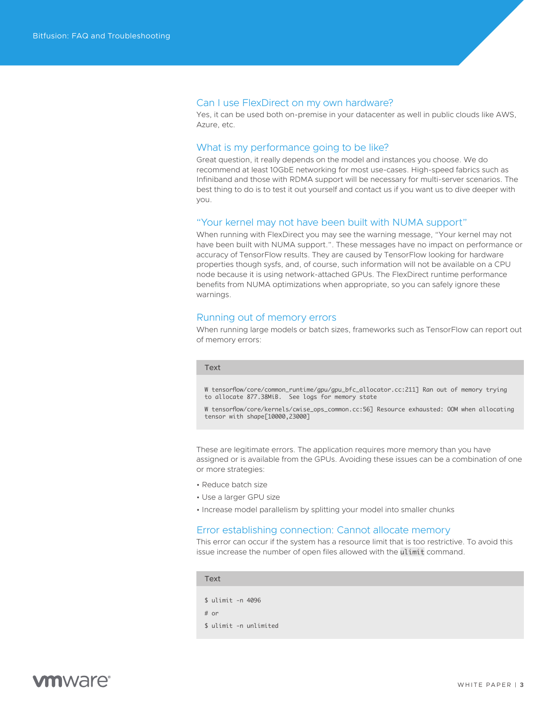# <span id="page-2-0"></span>Can I use FlexDirect on my own hardware?

Yes, it can be used both on-premise in your datacenter as well in public clouds like AWS, Azure, etc.

#### What is my performance going to be like?

Great question, it really depends on the model and instances you choose. We do recommend at least 10GbE networking for most use-cases. High-speed fabrics such as Infiniband and those with RDMA support will be necessary for multi-server scenarios. The best thing to do is to test it out yourself and contact us if you want us to dive deeper with you.

#### "Your kernel may not have been built with NUMA support"

When running with FlexDirect you may see the warning message, "Your kernel may not have been built with NUMA support.". These messages have no impact on performance or accuracy of TensorFlow results. They are caused by TensorFlow looking for hardware properties though sysfs, and, of course, such information will not be available on a CPU node because it is using network-attached GPUs. The FlexDirect runtime performance benefits from NUMA optimizations when appropriate, so you can safely ignore these warnings.

# Running out of memory errors

When running large models or batch sizes, frameworks such as TensorFlow can report out of memory errors:

#### Text

W tensorflow/core/common\_runtime/gpu/gpu\_bfc\_allocator.cc:211] Ran out of memory trying to allocate 877.38MiB. See logs for memory state

W tensorflow/core/kernels/cwise\_ops\_common.cc:56] Resource exhausted: OOM when allocating tensor with shape[10000,23000]

These are legitimate errors. The application requires more memory than you have assigned or is available from the GPUs. Avoiding these issues can be a combination of one or more strategies:

- Reduce batch size
- Use a larger GPU size
- Increase model parallelism by splitting your model into smaller chunks

#### Error establishing connection: Cannot allocate memory

This error can occur if the system has a resource limit that is too restrictive. To avoid this issue increase the number of open files allowed with the ulimit command.

#### Text

\$ ulimit -n 4096 # or \$ ulimit -n unlimited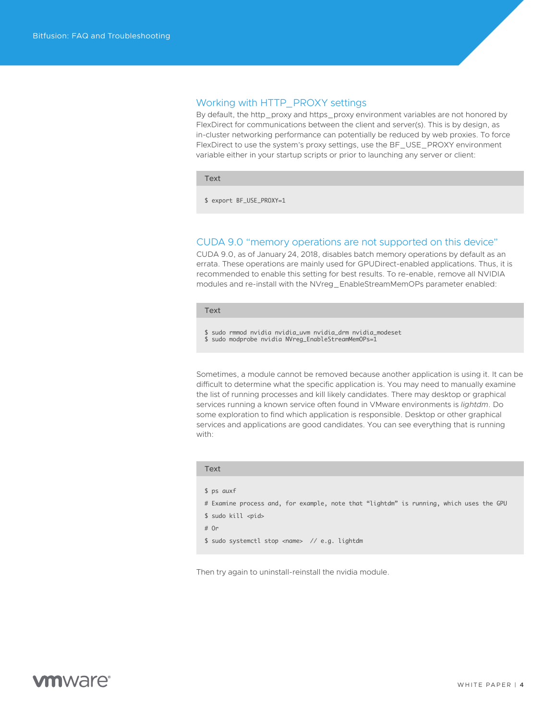# <span id="page-3-0"></span>Working with HTTP\_PROXY settings

By default, the http\_proxy and https\_proxy environment variables are not honored by FlexDirect for communications between the client and server(s). This is by design, as in-cluster networking performance can potentially be reduced by web proxies. To force FlexDirect to use the system's proxy settings, use the BF\_USE\_PROXY environment variable either in your startup scripts or prior to launching any server or client:

Text

\$ export BF\_USE\_PROXY=1

# CUDA 9.0 "memory operations are not supported on this device"

CUDA 9.0, as of January 24, 2018, disables batch memory operations by default as an errata. These operations are mainly used for GPUDirect-enabled applications. Thus, it is recommended to enable this setting for best results. To re-enable, remove all NVIDIA modules and re-install with the NVreg\_EnableStreamMemOPs parameter enabled:

#### Text

\$ sudo rmmod nvidia nvidia\_uvm nvidia\_drm nvidia\_modeset

\$ sudo modprobe nvidia NVreg\_EnableStreamMemOPs=1

Sometimes, a module cannot be removed because another application is using it. It can be difficult to determine what the specific application is. You may need to manually examine the list of running processes and kill likely candidates. There may desktop or graphical services running a known service often found in VMware environments is *lightdm*. Do some exploration to find which application is responsible. Desktop or other graphical services and applications are good candidates. You can see everything that is running with:

| Text |                                                                                        |
|------|----------------------------------------------------------------------------------------|
|      |                                                                                        |
|      | \$ ps auxf                                                                             |
|      | # Examine process and, for example, note that "lightdm" is running, which uses the GPU |
|      | \$ sudo kill <pid></pid>                                                               |
| # Or |                                                                                        |
|      | \$ sudo systemctl stop <name> // e.g. lightdm</name>                                   |

Then try again to uninstall-reinstall the nvidia module.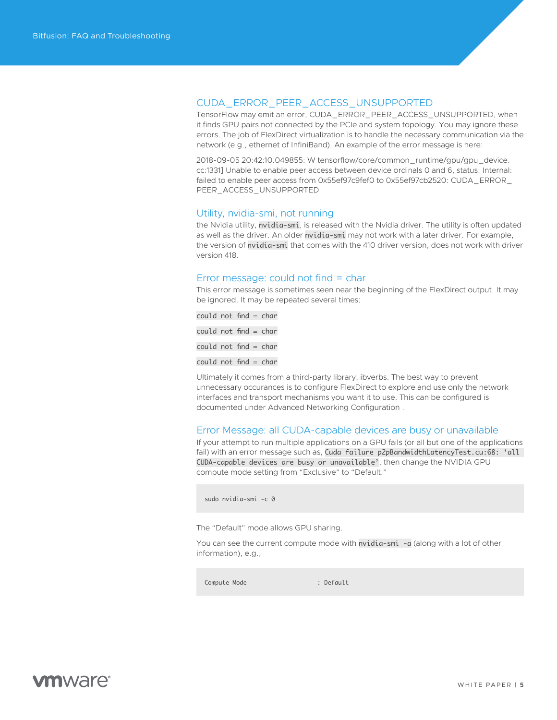<span id="page-4-0"></span>

TensorFlow may emit an error, CUDA\_ERROR\_PEER\_ACCESS\_UNSUPPORTED, when it finds GPU pairs not connected by the PCIe and system topology. You may ignore these errors. The job of FlexDirect virtualization is to handle the necessary communication via the network (e.g., ethernet of InfiniBand). An example of the error message is here:

2018-09-05 20:42:10.049855: W tensorflow/core/common\_runtime/gpu/gpu\_device. cc:1331] Unable to enable peer access between device ordinals 0 and 6, status: Internal: failed to enable peer access from 0x55ef97c9fef0 to 0x55ef97cb2520: CUDA\_ERROR\_ PEER\_ACCESS\_UNSUPPORTED

## Utility, nvidia-smi, not running

the Nvidia utility, nvidia-smi, is released with the Nvidia driver. The utility is often updated as well as the driver. An older nvidia-smi may not work with a later driver. For example, the version of nvidia-smi that comes with the 410 driver version, does not work with driver version 418.

## Error message: could not find = char

This error message is sometimes seen near the beginning of the FlexDirect output. It may be ignored. It may be repeated several times:

could not find = char could not find = char  $could not find = char$ could not find = char

Ultimately it comes from a third-party library, ibverbs. The best way to prevent unnecessary occurances is to configure FlexDirect to explore and use only the network interfaces and transport mechanisms you want it to use. This can be configured is documented under Advanced Networking Configuration .

# Error Message: all CUDA-capable devices are busy or unavailable

If your attempt to run multiple applications on a GPU fails (or all but one of the applications fail) with an error message such as, Cuda failure p2pBandwidthLatencyTest.cu:68: 'all CUDA-capable devices are busy or unavailable', then change the NVIDIA GPU compute mode setting from "Exclusive" to "Default."

sudo nvidia-smi -c 0

The "Default" mode allows GPU sharing.

You can see the current compute mode with nvidia-smi -a (along with a lot of other information), e.g.,

Compute Mode : Default